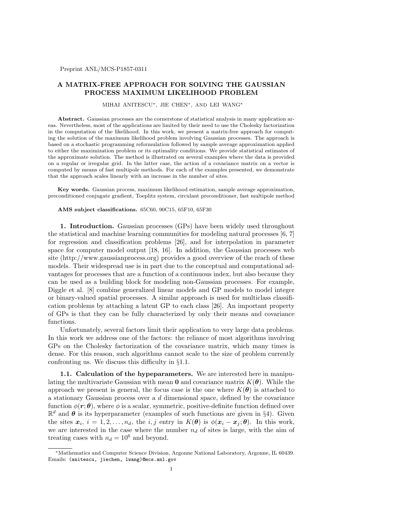## A MATRIX-FREE APPROACH FOR SOLVING THE GAUSSIAN PROCESS MAXIMUM LIKELIHOOD PROBLEM

MIHAI ANITESCU∗, JIE CHEN∗, AND LEI WANG<sup>∗</sup>

Abstract. Gaussian processes are the cornerstone of statistical analysis in many application areas. Nevertheless, most of the applications are limited by their need to use the Cholesky factorization in the computation of the likelihood. In this work, we present a matrix-free approach for computing the solution of the maximum likelihood problem involving Gaussian processes. The approach is based on a stochastic programming reformulation followed by sample average approximation applied to either the maximization problem or its optimality conditions. We provide statistical estimates of the approximate solution. The method is illustrated on several examples where the data is provided on a regular or irregular grid. In the latter case, the action of a covariance matrix on a vector is computed by means of fast multipole methods. For each of the examples presented, we demonstrate that the approach scales linearly with an increase in the number of sites.

Key words. Gaussian process, maximum likelihood estimation, sample average approximation, preconditioned conjugate gradient, Toeplitz system, circulant preconditioner, fast multipole method

AMS subject classifications. 65C60, 90C15, 65F10, 65F30

1. Introduction. Gaussian processes (GPs) have been widely used throughout the statistical and machine learning communities for modeling natural processes [6, 7] for regression and classification problems [26], and for interpolation in parameter space for computer model output [18, 16]. In addition, the Gaussian processes web site (http://www.gaussianprocess.org) provides a good overview of the reach of these models. Their widespread use is in part due to the conceptual and computational advantages for processes that are a function of a continuous index, but also because they can be used as a building block for modeling non-Gaussian processes. For example, Diggle et al. [8] combine generalized linear models and GP models to model integer or binary-valued spatial processes. A similar approach is used for multiclass classification problems by attaching a latent GP to each class [26]. An important property of GPs is that they can be fully characterized by only their means and covariance functions.

Unfortunately, several factors limit their application to very large data problems. In this work we address one of the factors: the reliance of most algorithms involving GPs on the Cholesky factorization of the covariance matrix, which many times is dense. For this reason, such algorithms cannot scale to the size of problem currently confronting us. We discuss this difficulty in §1.1.

1.1. Calculation of the hypeparameters. We are interested here in manipulating the multivariate Gaussian with mean 0 and covariance matrix  $K(\theta)$ . While the approach we present is general, the focus case is the one where  $K(\theta)$  is attached to a stationary Gaussian process over a d dimensional space, defined by the covariance function  $\phi(\mathbf{r}; \theta)$ , where  $\phi$  is a scalar, symmetric, positive-definite function defined over  $\mathbb{R}^d$  and  $\theta$  is its hyperparameter (examples of such functions are given in §4). Given the sites  $x_i$ ,  $i = 1, 2, \ldots, n_d$ , the i, j entry in  $K(\theta)$  is  $\phi(x_i - x_j; \theta)$ . In this work, we are interested in the case where the number  $n_d$  of sites is large, with the aim of treating cases with  $n_d = 10^6$  and beyond.

<sup>∗</sup>Mathematics and Computer Science Division, Argonne National Laboratory, Argonne, IL 60439. Emails: (anitescu, jiechen, lwang)@mcs.anl.gov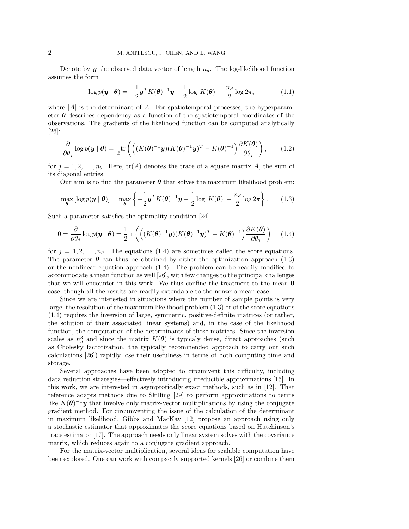Denote by  $y$  the observed data vector of length  $n_d$ . The log-likelihood function assumes the form

$$
\log p(\boldsymbol{y} \mid \boldsymbol{\theta}) = -\frac{1}{2} \boldsymbol{y}^T K(\boldsymbol{\theta})^{-1} \boldsymbol{y} - \frac{1}{2} \log |K(\boldsymbol{\theta})| - \frac{n_d}{2} \log 2\pi, \tag{1.1}
$$

where  $|A|$  is the determinant of A. For spatiotemporal processes, the hyperparameter  $\theta$  describes dependency as a function of the spatiotemporal coordinates of the observations. The gradients of the likelihood function can be computed analytically [26]:

$$
\frac{\partial}{\partial \theta_j} \log p(\mathbf{y} \mid \boldsymbol{\theta}) = \frac{1}{2} \text{tr} \left( \left( (K(\boldsymbol{\theta})^{-1} \mathbf{y}) (K(\boldsymbol{\theta})^{-1} \mathbf{y})^T - K(\boldsymbol{\theta})^{-1} \right) \frac{\partial K(\boldsymbol{\theta})}{\partial \theta_j} \right), \qquad (1.2)
$$

for  $j = 1, 2, \ldots, n_{\theta}$ . Here,  $tr(A)$  denotes the trace of a square matrix A, the sum of its diagonal entries.

Our aim is to find the parameter  $\theta$  that solves the maximum likelihood problem:

$$
\max_{\boldsymbol{\theta}} \left[ \log p(\boldsymbol{y} \mid \boldsymbol{\theta}) \right] = \max_{\boldsymbol{\theta}} \left\{ -\frac{1}{2} \boldsymbol{y}^T K(\boldsymbol{\theta})^{-1} \boldsymbol{y} - \frac{1}{2} \log |K(\boldsymbol{\theta})| - \frac{n_d}{2} \log 2\pi \right\}.
$$
 (1.3)

Such a parameter satisfies the optimality condition [24]

$$
0 = \frac{\partial}{\partial \theta_j} \log p(\mathbf{y} \mid \boldsymbol{\theta}) = \frac{1}{2} \text{tr} \left( \left( (K(\boldsymbol{\theta})^{-1} \mathbf{y}) (K(\boldsymbol{\theta})^{-1} \mathbf{y})^T - K(\boldsymbol{\theta})^{-1} \right) \frac{\partial K(\boldsymbol{\theta})}{\partial \theta_j} \right) \tag{1.4}
$$

for  $j = 1, 2, \ldots, n_{\theta}$ . The equations (1.4) are sometimes called the score equations. The parameter  $\theta$  can thus be obtained by either the optimization approach (1.3) or the nonlinear equation approach (1.4). The problem can be readily modified to accommodate a mean function as well [26], with few changes to the principal challenges that we will encounter in this work. We thus confine the treatment to the mean 0 case, though all the results are readily extendable to the nonzero mean case.

Since we are interested in situations where the number of sample points is very large, the resolution of the maximum likelihood problem (1.3) or of the score equations (1.4) requires the inversion of large, symmetric, positive-definite matrices (or rather, the solution of their associated linear systems) and, in the case of the likelihood function, the computation of the determinants of those matrices. Since the inversion scales as  $n_d^3$  and since the matrix  $K(\theta)$  is typicaly dense, direct approaches (such as Cholesky factorization, the typically recommended approach to carry out such calculations [26]) rapidly lose their usefulness in terms of both computing time and storage.

Several approaches have been adopted to circumvent this difficulty, including data reduction strategies—effectively introducing irreducible approximations [15]. In this work, we are interested in asymptotically exact methods, such as in [12]. That reference adapts methods due to Skilling [29] to perform approximations to terms like  $K(\theta)^{-1}y$  that involve only matrix-vector multiplications by using the conjugate gradient method. For circumventing the issue of the calculation of the determinant in maximum likelihood, Gibbs and MacKay [12] propose an approach using only a stochastic estimator that approximates the score equations based on Hutchinson's trace estimator [17]. The approach needs only linear system solves with the covariance matrix, which reduces again to a conjugate gradient approach.

For the matrix-vector multiplication, several ideas for scalable computation have been explored. One can work with compactly supported kernels [26] or combine them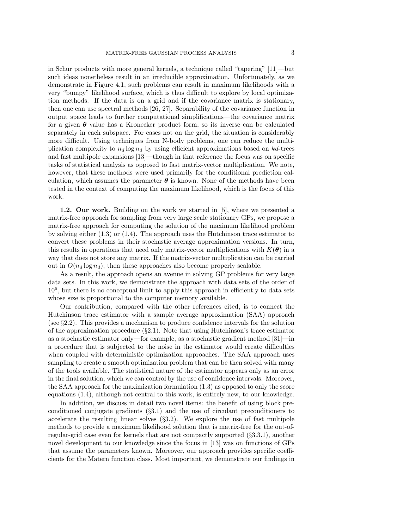in Schur products with more general kernels, a technique called "tapering" [11]—but such ideas nonetheless result in an irreducible approximation. Unfortunately, as we demonstrate in Figure 4.1, such problems can result in maximum likelihoods with a very "bumpy" likelihood surface, which is thus difficult to explore by local optimization methods. If the data is on a grid and if the covariance matrix is stationary, then one can use spectral methods [26, 27]. Separability of the covariance function in output space leads to further computational simplifications—the covariance matrix for a given  $\theta$  value has a Kronecker product form, so its inverse can be calculated separately in each subspace. For cases not on the grid, the situation is considerably more difficult. Using techniques from N-body problems, one can reduce the multiplication complexity to  $n_d \log n_d$  by using efficient approximations based on kd-trees and fast multipole expansions [13]—though in that reference the focus was on specific tasks of statistical analysis as opposed to fast matrix-vector multiplication. We note, however, that these methods were used primarily for the conditional prediction calculation, which assumes the parameter  $\theta$  is known. None of the methods have been tested in the context of computing the maximum likelihood, which is the focus of this work.

1.2. Our work. Building on the work we started in [5], where we presented a matrix-free approach for sampling from very large scale stationary GPs, we propose a matrix-free approach for computing the solution of the maximum likelihood problem by solving either (1.3) or (1.4). The approach uses the Hutchinson trace estimator to convert these problems in their stochastic average approximation versions. In turn, this results in operations that need only matrix-vector multiplications with  $K(\theta)$  in a way that does not store any matrix. If the matrix-vector multiplication can be carried out in  $O(n_d \log n_d)$ , then these approaches also become properly scalable.

As a result, the approach opens an avenue in solving GP problems for very large data sets. In this work, we demonstrate the approach with data sets of the order of 10<sup>6</sup> , but there is no conceptual limit to apply this approach in efficiently to data sets whose size is proportional to the computer memory available.

Our contribution, compared with the other references cited, is to connect the Hutchinson trace estimator with a sample average approximation (SAA) approach (see §2.2). This provides a mechanism to produce confidence intervals for the solution of the approximation procedure  $(\S2.1)$ . Note that using Hutchinson's trace estimator as a stochastic estimator only—for example, as a stochastic gradient method [31]—in a procedure that is subjected to the noise in the estimator would create difficulties when coupled with deterministic optimization approaches. The SAA approach uses sampling to create a smooth optimization problem that can be then solved with many of the tools available. The statistical nature of the estimator appears only as an error in the final solution, which we can control by the use of confidence intervals. Moreover, the SAA approach for the maximization formulation (1.3) as opposed to only the score equations (1.4), although not central to this work, is entirely new, to our knowledge.

In addition, we discuss in detail two novel items: the benefit of using block preconditioned conjugate gradients (§3.1) and the use of circulant preconditioners to accelerate the resulting linear solves (§3.2). We explore the use of fast multipole methods to provide a maximum likelihood solution that is matrix-free for the out-ofregular-grid case even for kernels that are not compactly supported (§3.3.1), another novel development to our knowledge since the focus in [13] was on functions of GPs that assume the parameters known. Moreover, our approach provides specific coefficients for the Matern function class. Most important, we demonstrate our findings in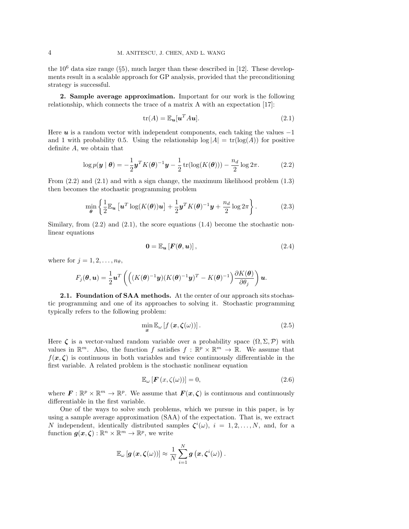the  $10^6$  data size range (§5), much larger than these described in [12]. These developments result in a scalable approach for GP analysis, provided that the preconditioning strategy is successful.

2. Sample average approximation. Important for our work is the following relationship, which connects the trace of a matrix A with an expectation [17]:

$$
\operatorname{tr}(A) = \mathbb{E}_{\mathbf{u}}[\mathbf{u}^T A \mathbf{u}]. \tag{2.1}
$$

Here u is a random vector with independent components, each taking the values  $-1$ and 1 with probability 0.5. Using the relationship  $log |A| = tr(log(A))$  for positive definite A, we obtain that

$$
\log p(\boldsymbol{y} \mid \boldsymbol{\theta}) = -\frac{1}{2} \boldsymbol{y}^T K(\boldsymbol{\theta})^{-1} \boldsymbol{y} - \frac{1}{2} \operatorname{tr}(\log(K(\boldsymbol{\theta}))) - \frac{n_d}{2} \log 2\pi.
$$
 (2.2)

From (2.2) and (2.1) and with a sign change, the maximum likelihood problem (1.3) then becomes the stochastic programming problem

$$
\min_{\boldsymbol{\theta}} \left\{ \frac{1}{2} \mathbb{E}_{\boldsymbol{u}} \left[ \boldsymbol{u}^T \log(K(\boldsymbol{\theta})) \boldsymbol{u} \right] + \frac{1}{2} \boldsymbol{y}^T K(\boldsymbol{\theta})^{-1} \boldsymbol{y} + \frac{n_d}{2} \log 2\pi \right\}.
$$
 (2.3)

Similary, from  $(2.2)$  and  $(2.1)$ , the score equations  $(1.4)$  become the stochastic nonlinear equations

$$
\mathbf{0} = \mathbb{E}_{\mathbf{u}}\left[\mathbf{F}(\boldsymbol{\theta}, \mathbf{u})\right],\tag{2.4}
$$

where for  $j = 1, 2, \ldots, n_{\theta}$ ,

$$
F_j(\boldsymbol{\theta}, \boldsymbol{u}) = \frac{1}{2} \boldsymbol{u}^T \left( \left( (K(\boldsymbol{\theta})^{-1} \boldsymbol{y}) (K(\boldsymbol{\theta})^{-1} \boldsymbol{y})^T - K(\boldsymbol{\theta})^{-1} \right) \frac{\partial K(\boldsymbol{\theta})}{\partial \theta_j} \right) \boldsymbol{u}.
$$

2.1. Foundation of SAA methods. At the center of our approach sits stochastic programming and one of its approaches to solving it. Stochastic programming typically refers to the following problem:

$$
\min_{\boldsymbol{x}} \mathbb{E}_{\omega} \left[ f \left( \boldsymbol{x}, \boldsymbol{\zeta}(\omega) \right) \right]. \tag{2.5}
$$

Here  $\zeta$  is a vector-valued random variable over a probability space  $(\Omega, \Sigma, \mathcal{P})$  with values in  $\mathbb{R}^m$ . Also, the function f satisfies  $f : \mathbb{R}^p \times \mathbb{R}^m \to \mathbb{R}$ . We assume that  $f(x, \zeta)$  is continuous in both variables and twice continuously differentiable in the first variable. A related problem is the stochastic nonlinear equation

$$
\mathbb{E}_{\omega}\left[\boldsymbol{F}\left(x,\zeta(\omega)\right)\right]=0,\tag{2.6}
$$

where  $\mathbf{F} : \mathbb{R}^p \times \mathbb{R}^m \to \mathbb{R}^p$ . We assume that  $\mathbf{F}(\mathbf{x}, \zeta)$  is continuous and continuously differentiable in the first variable.

One of the ways to solve such problems, which we pursue in this paper, is by using a sample average approximation (SAA) of the expectation. That is, we extract N independent, identically distributed samples  $\zeta^{i}(\omega)$ ,  $i = 1, 2, ..., N$ , and, for a function  $g(x,\zeta):\mathbb{R}^n\times\mathbb{R}^m\to\mathbb{R}^p$ , we write

$$
\mathbb{E}_{\omega} \left[ \boldsymbol{g} \left( \boldsymbol{x}, \boldsymbol{\zeta}(\omega) \right) \right] \approx \frac{1}{N} \sum_{i=1}^{N} \boldsymbol{g} \left( \boldsymbol{x}, \boldsymbol{\zeta}^{i}(\omega) \right).
$$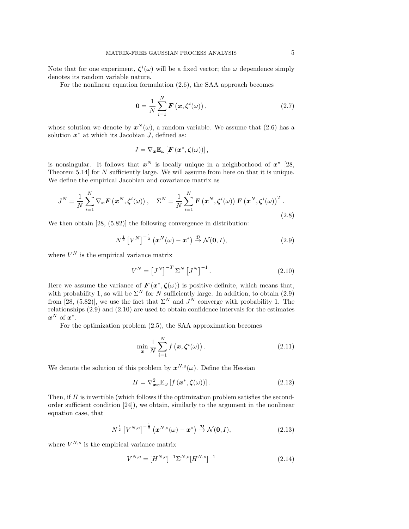Note that for one experiment,  $\zeta^{i}(\omega)$  will be a fixed vector; the  $\omega$  dependence simply denotes its random variable nature.

For the nonlinear equation formulation (2.6), the SAA approach becomes

$$
\mathbf{0} = \frac{1}{N} \sum_{i=1}^{N} \boldsymbol{F} \left( \boldsymbol{x}, \boldsymbol{\zeta}^{i}(\omega) \right), \qquad (2.7)
$$

whose solution we denote by  $x^N(\omega)$ , a random variable. We assume that (2.6) has a solution  $x^*$  at which its Jacobian J, defined as:

$$
J=\nabla_{\boldsymbol{x}}\mathbb{E}_{\omega}\left[\boldsymbol{F}\left(\boldsymbol{x}^*,\boldsymbol{\zeta}(\omega)\right)\right],
$$

is nonsingular. It follows that  $x^N$  is locally unique in a neighborhood of  $x^*$  [28, Theorem 5.14] for N sufficiently large. We will assume from here on that it is unique. We define the empirical Jacobian and covariance matrix as

$$
J^{N} = \frac{1}{N} \sum_{i=1}^{N} \nabla_{\boldsymbol{x}} \boldsymbol{F} \left( \boldsymbol{x}^{N}, \boldsymbol{\zeta}^{i}(\omega) \right), \quad \Sigma^{N} = \frac{1}{N} \sum_{i=1}^{N} \boldsymbol{F} \left( \boldsymbol{x}^{N}, \boldsymbol{\zeta}^{i}(\omega) \right) \boldsymbol{F} \left( \boldsymbol{x}^{N}, \boldsymbol{\zeta}^{i}(\omega) \right)^{T}.
$$
\n(2.8)

We then obtain [28, (5.82)] the following convergence in distribution:

$$
N^{\frac{1}{2}}\left[V^{N}\right]^{-\frac{1}{2}}\left(\boldsymbol{x}^{N}(\omega)-\boldsymbol{x}^{*}\right)\stackrel{\mathcal{D}}{\rightarrow}\mathcal{N}(\mathbf{0},I),\tag{2.9}
$$

where  $V^N$  is the empirical variance matrix

$$
V^N = \left[J^N\right]^{-T} \Sigma^N \left[J^N\right]^{-1}.
$$
\n(2.10)

Here we assume the variance of  $\mathbf{F}(\mathbf{x}^*, \zeta(\omega))$  is positive definite, which means that, with probability 1, so will be  $\Sigma^N$  for N sufficiently large. In addition, to obtain (2.9) from [28, (5.82)], we use the fact that  $\Sigma^N$  and  $J^N$  converge with probability 1. The relationships (2.9) and (2.10) are used to obtain confidence intervals for the estimates  $x^N$  of  $x^*$ .

For the optimization problem (2.5), the SAA approximation becomes

$$
\min_{\boldsymbol{x}} \frac{1}{N} \sum_{i=1}^{N} f\left(\boldsymbol{x}, \boldsymbol{\zeta}^i(\omega)\right). \tag{2.11}
$$

We denote the solution of this problem by  $x^{N,o}(\omega)$ . Define the Hessian

$$
H = \nabla_{\mathbf{x}\mathbf{x}}^2 \mathbb{E}_{\omega} \left[ f\left(\mathbf{x}^*, \boldsymbol{\zeta}(\omega)\right) \right]. \tag{2.12}
$$

Then, if  $H$  is invertible (which follows if the optimization problem satisfies the secondorder sufficient condition [24]), we obtain, similarly to the argument in the nonlinear equation case, that

$$
N^{\frac{1}{2}}\left[V^{N,o}\right]^{-\frac{1}{2}}\left(\boldsymbol{x}^{N,o}(\omega)-\boldsymbol{x}^*\right)\stackrel{\mathcal{D}}{\rightarrow}\mathcal{N}(\boldsymbol{0},I),\tag{2.13}
$$

where  $V^{N,o}$  is the empirical variance matrix

$$
V^{N,o} = [H^{N,o}]^{-1} \Sigma^{N,o} [H^{N,o}]^{-1}
$$
\n(2.14)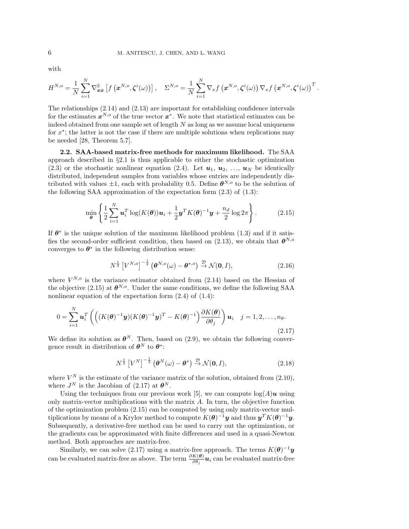with

$$
H^{N,o} = \frac{1}{N} \sum_{i=1}^N \nabla_{\boldsymbol{x}\boldsymbol{x}}^2 \left[ f\left(\boldsymbol{x}^{N,o}, \boldsymbol{\zeta}^i(\omega)\right) \right], \quad \Sigma^{N,o} = \frac{1}{N} \sum_{i=1}^N \nabla_x f\left(\boldsymbol{x}^{N,o}, \boldsymbol{\zeta}^i(\omega)\right) \nabla_x f\left(\boldsymbol{x}^{N,o}, \boldsymbol{\zeta}^i(\omega)\right)^T.
$$

The relationships (2.14) and (2.13) are important for establishing confidence intervals for the estimates  $x^{N,o}$  of the true vector  $x^*$ . We note that statistical estimates can be indeed obtained from one sample set of length  $N$  as long as we assume local uniqueness for  $x^*$ ; the latter is not the case if there are multiple solutions when replications may be needed [28, Theorem 5.7].

2.2. SAA-based matrix-free methods for maximum likelihood. The SAA approach described in §2.1 is thus applicable to either the stochastic optimization (2.3) or the stochastic nonlinear equation (2.4). Let  $u_1, u_2, ..., u_N$  be identically distributed, independent samples from variables whose entries are independently distributed with values  $\pm 1$ , each with probability 0.5. Define  $\theta^{N,o}$  to be the solution of the following SAA approximation of the expectation form  $(2.3)$  of  $(1.3)$ :

$$
\min_{\boldsymbol{\theta}} \left\{ \frac{1}{2} \sum_{i=1}^{N} \boldsymbol{u}_i^T \log(K(\boldsymbol{\theta})) \boldsymbol{u}_i + \frac{1}{2} \boldsymbol{y}^T K(\boldsymbol{\theta})^{-1} \boldsymbol{y} + \frac{n_d}{2} \log 2\pi \right\}.
$$
 (2.15)

If  $\theta^*$  is the unique solution of the maximum likelihood problem (1.3) and if it satisfies the second-order sufficient condition, then based on (2.13), we obtain that  $\theta^{N,o}$ converges to  $\theta^*$  in the following distribution sense:

$$
N^{\frac{1}{2}}\left[V^{N,o}\right]^{-\frac{1}{2}}\left(\boldsymbol{\theta}^{N,o}(\omega)-\boldsymbol{\theta}^{*,o}\right)\stackrel{\mathcal{D}}{\rightarrow}\mathcal{N}(\mathbf{0},I),\tag{2.16}
$$

where  $V^{N,o}$  is the variance estimator obtained from  $(2.14)$  based on the Hessian of the objective (2.15) at  $\theta^{N,o}$ . Under the same conditions, we define the following SAA nonlinear equation of the expectation form  $(2.4)$  of  $(1.4)$ :

$$
0 = \sum_{i=1}^{N} \boldsymbol{u}_i^T \left( \left( (K(\boldsymbol{\theta})^{-1} \boldsymbol{y}) (K(\boldsymbol{\theta})^{-1} \boldsymbol{y})^T - K(\boldsymbol{\theta})^{-1} \right) \frac{\partial K(\boldsymbol{\theta})}{\partial \theta_j} \right) \boldsymbol{u}_i \quad j = 1, 2, \dots, n_{\theta}.
$$
\n(2.17)

We define its solution as  $\boldsymbol{\theta}^N$ . Then, based on (2.9), we obtain the following convergence result in distribution of  $\boldsymbol{\theta}^N$  to  $\boldsymbol{\theta}^*$ :

$$
N^{\frac{1}{2}}\left[V^{N}\right]^{-\frac{1}{2}}\left(\boldsymbol{\theta}^{N}(\omega)-\boldsymbol{\theta}^{*}\right)\stackrel{\mathcal{D}}{\rightarrow}\mathcal{N}(\mathbf{0},I),\tag{2.18}
$$

where  $V^N$  is the estimate of the variance matrix of the solution, obtained from  $(2.10)$ , where  $J^N$  is the Jacobian of (2.17) at  $\boldsymbol{\theta}^N$ .

Using the techniques from our previous work [5], we can compute  $log(A)u$  using only matrix-vector multiplications with the matrix A. In turn, the objective function of the optimization problem (2.15) can be computed by using only matrix-vector multiplications by means of a Krylov method to compute  $K(\theta)^{-1}y$  and thus  $y^T K(\theta)^{-1}y$ . Subsequently, a derivative-free method can be used to carry out the optimization, or the gradients can be approximated with finite differences and used in a quasi-Newton method. Both approaches are matrix-free.

Similarly, we can solve (2.17) using a matrix-free approach. The terms  $K(\theta)^{-1}y$ can be evaluated matrix-free as above. The term  $\frac{\partial K(\bm{\theta})}{\partial \theta_j} \bm{u}_i$  can be evaluated matrix-free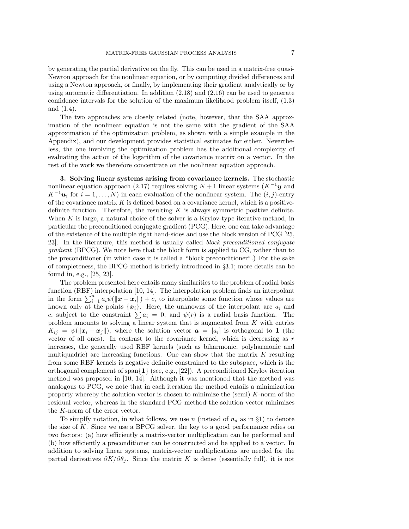by generating the partial derivative on the fly. This can be used in a matrix-free quasi-Newton approach for the nonlinear equation, or by computing divided differences and using a Newton approach, or finally, by implementing their gradient analytically or by using automatic differentiation. In addition  $(2.18)$  and  $(2.16)$  can be used to generate confidence intervals for the solution of the maximum likelihood problem itself, (1.3) and (1.4).

The two approaches are closely related (note, however, that the SAA approximation of the nonlinear equation is not the same with the gradient of the SAA approximation of the optimization problem, as shown with a simple example in the Appendix), and our development provides statistical estimates for either. Nevertheless, the one involving the optimization problem has the additional complexity of evaluating the action of the logarithm of the covariance matrix on a vector. In the rest of the work we therefore concentrate on the nonlinear equation approach.

3. Solving linear systems arising from covariance kernels. The stochastic nonlinear equation approach (2.17) requires solving  $N + 1$  linear systems  $(K^{-1}y)$  and  $K^{-1}u_i$  for  $i = 1, ..., N$ ) in each evaluation of the nonlinear system. The  $(i, j)$ -entry of the covariance matrix  $K$  is defined based on a covariance kernel, which is a positivedefinite function. Therefore, the resulting  $K$  is always symmetric positive definite. When  $K$  is large, a natural choice of the solver is a Krylov-type iterative method, in particular the preconditioned conjugate gradient (PCG). Here, one can take advantage of the existence of the multiple right hand-sides and use the block version of PCG [25, 23]. In the literature, this method is usually called block preconditioned conjugate gradient (BPCG). We note here that the block form is applied to CG, rather than to the preconditioner (in which case it is called a "block preconditioner".) For the sake of completeness, the BPCG method is briefly introduced in §3.1; more details can be found in, e.g., [25, 23].

The problem presented here entails many similarities to the problem of radial basis function (RBF) interpolation [10, 14]. The interpolation problem finds an interpolant in the form  $\sum_{i=1}^n a_i \psi(||\boldsymbol{x} - \boldsymbol{x}_i||) + c$ , to interpolate some function whose values are known only at the points  $\{x_i\}$ . Here, the unknowns of the interpolant are  $a_i$  and c, subject to the constraint  $\sum a_i = 0$ , and  $\psi(r)$  is a radial basis function. The problem amounts to solving a linear system that is augmented from K with entries  $K_{ij} = \psi(||\boldsymbol{x}_i - \boldsymbol{x}_j||)$ , where the solution vector  $\boldsymbol{a} = [a_i]$  is orthogonal to 1 (the vector of all ones). In contrast to the covariance kernel, which is decreasing as  $r$ increases, the generally used RBF kernels (such as biharmonic, polyharmonic and multiquadric) are increasing functions. One can show that the matrix  $K$  resulting from some RBF kernels is negative definite constrained to the subspace, which is the orthogonal complement of span{1} (see, e.g., [22]). A preconditioned Krylov iteration method was proposed in [10, 14]. Although it was mentioned that the method was analogous to PCG, we note that in each iteration the method entails a minimization property whereby the solution vector is chosen to minimize the (semi)  $K$ -norm of the residual vector, whereas in the standard PCG method the solution vector minimizes the K-norm of the error vector.

To simplify notation, in what follows, we use n (instead of  $n_d$  as in §1) to denote the size of  $K$ . Since we use a BPCG solver, the key to a good performance relies on two factors: (a) how efficiently a matrix-vector multiplication can be performed and (b) how efficiently a preconditioner can be constructed and be applied to a vector. In addition to solving linear systems, matrix-vector multiplications are needed for the partial derivatives  $\partial K/\partial \theta_i$ . Since the matrix K is dense (essentially full), it is not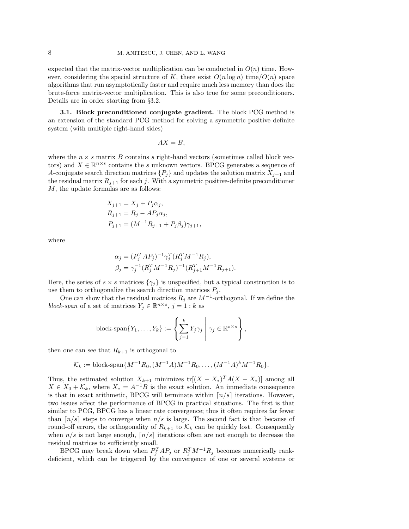expected that the matrix-vector multiplication can be conducted in  $O(n)$  time. However, considering the special structure of K, there exist  $O(n \log n)$  time/ $O(n)$  space algorithms that run asymptotically faster and require much less memory than does the brute-force matrix-vector multiplication. This is also true for some preconditioners. Details are in order starting from §3.2.

**3.1. Block preconditioned conjugate gradient.** The block PCG method is an extension of the standard PCG method for solving a symmetric positive definite system (with multiple right-hand sides)

$$
AX = B,
$$

where the  $n \times s$  matrix B contains s right-hand vectors (sometimes called block vectors) and  $X \in \mathbb{R}^{n \times s}$  contains the s unknown vectors. BPCG generates a sequence of A-conjugate search direction matrices  $\{P_j\}$  and updates the solution matrix  $X_{j+1}$  and the residual matrix  $R_{j+1}$  for each j. With a symmetric positive-definite preconditioner M, the update formulas are as follows:

$$
X_{j+1} = X_j + P_j \alpha_j,
$$
  
\n
$$
R_{j+1} = R_j - AP_j \alpha_j,
$$
  
\n
$$
P_{j+1} = (M^{-1}R_{j+1} + P_j \beta_j)\gamma_{j+1},
$$

where

$$
\alpha_j = (P_j^T A P_j)^{-1} \gamma_j^T (R_j^T M^{-1} R_j),
$$
  
\n
$$
\beta_j = \gamma_j^{-1} (R_j^T M^{-1} R_j)^{-1} (R_{j+1}^T M^{-1} R_{j+1}).
$$

Here, the series of  $s \times s$  matrices  $\{\gamma_j\}$  is unspecified, but a typical construction is to use them to orthogonalize the search direction matrices  $P_i$ .

One can show that the residual matrices  $R_j$  are  $M^{-1}$ -orthogonal. If we define the block-span of a set of matrices  $Y_j \in \mathbb{R}^{n \times s}$ ,  $j = 1 : k$  as

block-
$$
\text{block-span}\{Y_1,\ldots,Y_k\} := \left\{ \sum_{j=1}^k Y_j \gamma_j \middle| \gamma_j \in \mathbb{R}^{s \times s} \right\},\
$$

then one can see that  $R_{k+1}$  is orthogonal to

$$
\mathcal{K}_k := \text{block-span}\{M^{-1}R_0, (M^{-1}A)M^{-1}R_0, \dots, (M^{-1}A)^kM^{-1}R_0\}.
$$

Thus, the estimated solution  $X_{k+1}$  minimizes  $tr[(X - X_*)^T A (X - X_*)]$  among all  $X \in X_0 + \mathcal{K}_k$ , where  $X_* = A^{-1}B$  is the exact solution. An immediate consequence is that in exact arithmetic, BPCG will terminate within  $n/s$  iterations. However, two issues affect the performance of BPCG in practical situations. The first is that similar to PCG, BPCG has a linear rate convergence; thus it often requires far fewer than  $\lfloor n/s \rfloor$  steps to converge when  $n/s$  is large. The second fact is that because of round-off errors, the orthogonality of  $R_{k+1}$  to  $\mathcal{K}_k$  can be quickly lost. Consequently when  $n/s$  is not large enough,  $n/s$  iterations often are not enough to decrease the residual matrices to sufficiently small.

BPCG may break down when  $P_j^T A P_j$  or  $R_j^T M^{-1} R_j$  becomes numerically rankdeficient, which can be triggered by the convergence of one or several systems or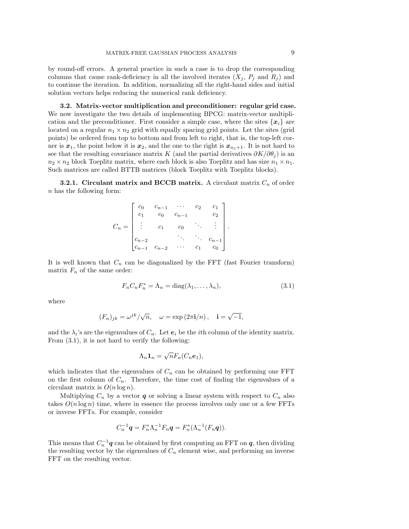by round-off errors. A general practice in such a case is to drop the corresponding columns that cause rank-deficiency in all the involved iterates  $(X_j, P_j \text{ and } R_j)$  and to continue the iteration. In addition, normalizing all the right-hand sides and initial solution vectors helps reducing the numerical rank deficiency.

3.2. Matrix-vector multiplication and preconditioner: regular grid case. We now investigate the two details of implementing BPCG: matrix-vector multiplication and the preconditioner. First consider a simple case, where the sites  $\{x_i\}$  are located on a regular  $n_1 \times n_2$  grid with equally spacing grid points. Let the sites (grid points) be ordered from top to bottom and from left to right, that is, the top-left corner is  $x_1$ , the point below it is  $x_2$ , and the one to the right is  $x_{n_1+1}$ . It is not hard to see that the resulting covariance matrix K (and the partial derivatives  $\partial K/\partial \theta_i$ ) is an  $n_2 \times n_2$  block Toeplitz matrix, where each block is also Toeplitz and has size  $n_1 \times n_1$ . Such matrices are called BTTB matrices (block Toeplitz with Toeplitz blocks).

**3.2.1.** Circulant matrix and BCCB matrix. A circulant matrix  $C_n$  of order n has the following form:

$$
C_n = \begin{bmatrix} c_0 & c_{n-1} & \cdots & c_2 & c_1 \\ c_1 & c_0 & c_{n-1} & c_2 \\ \vdots & c_1 & c_0 & \ddots & \vdots \\ c_{n-2} & & \ddots & c_{n-1} \\ c_{n-1} & c_{n-2} & \cdots & c_1 & c_0 \end{bmatrix}.
$$

It is well known that  $C_n$  can be diagonalized by the FFT (fast Fourier transform) matrix  $F_n$  of the same order:

$$
F_n C_n F_n^* = \Lambda_n = \text{diag}(\lambda_1, \dots, \lambda_n),\tag{3.1}
$$

where

$$
(F_n)_{jk} = \omega^{jk} / \sqrt{n}, \quad \omega = \exp(2\pi \mathbf{i}/n), \quad \mathbf{i} = \sqrt{-1},
$$

and the  $\lambda_i$ 's are the eigenvalues of  $C_n$ . Let  $e_i$  be the *i*th column of the identity matrix. From (3.1), it is not hard to verify the following:

$$
\Lambda_n \mathbf{1}_n = \sqrt{n} F_n(C_n \mathbf{e}_1),
$$

which indicates that the eigenvalues of  $C_n$  can be obtained by performing one FFT on the first column of  $C_n$ . Therefore, the time cost of finding the eigenvalues of a circulant matrix is  $O(n \log n)$ .

Multiplying  $C_n$  by a vector  $q$  or solving a linear system with respect to  $C_n$  also takes  $O(n \log n)$  time, where in essence the process involves only one or a few FFTs or inverse FFTs. For example, consider

$$
C_n^{-1}q = F_n^* \Lambda_n^{-1} F_n q = F_n^* (\Lambda_n^{-1} (F_n q)).
$$

This means that  $C_n^{-1}\mathbf{q}$  can be obtained by first computing an FFT on  $\mathbf{q}$ , then dividing the resulting vector by the eigenvalues of  $C_n$  element wise, and performing an inverse FFT on the resulting vector.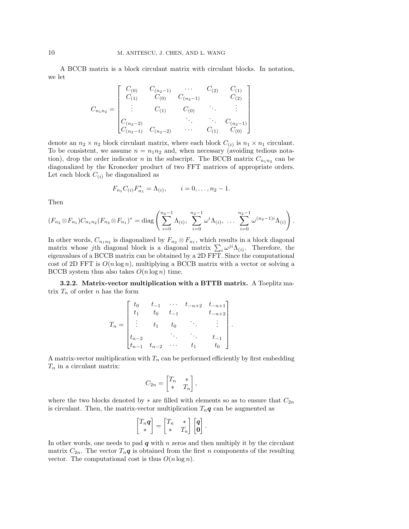A BCCB matrix is a block circulant matrix with circulant blocks. In notation, we let

$$
C_{n_1 n_2} = \begin{bmatrix} C_{(0)} & C_{(n_2-1)} & \cdots & C_{(2)} & C_{(1)} \\ C_{(1)} & C_{(0)} & C_{(n_2-1)} & C_{(2)} \\ \vdots & C_{(1)} & C_{(0)} & \ddots & \vdots \\ C_{(n_2-2)} & \cdots & C_{(1)} & C_{(0)} \\ C_{(n_2-1)} & C_{(n_2-2)} & \cdots & C_{(1)} & C_{(0)} \end{bmatrix}
$$

denote an  $n_2 \times n_2$  block circulant matrix, where each block  $C_{(i)}$  is  $n_1 \times n_1$  circulant. To be consistent, we assume  $n = n_1 n_2$  and, when necessary (avoiding tedious notation), drop the order indicator n in the subscript. The BCCB matrix  $C_{n_1 n_2}$  can be diagonalized by the Kronecker product of two FFT matrices of appropriate orders. Let each block  $C_{(i)}$  be diagonalized as

$$
F_{n_1}C_{(i)}F_{n_1}^* = \Lambda_{(i)}, \qquad i = 0, \ldots, n_2 - 1.
$$

Then

$$
(F_{n_2} \otimes F_{n_1}) C_{n_1 n_2} (F_{n_2} \otimes F_{n_1})^* = \text{diag} \left( \sum_{i=0}^{n_2-1} \Lambda_{(i)}, \sum_{i=0}^{n_2-1} \omega^i \Lambda_{(i)}, \dots \sum_{i=0}^{n_2-1} \omega^{(n_2-1)i} \Lambda_{(i)} \right).
$$

In other words,  $C_{n_1 n_2}$  is diagonalized by  $F_{n_2} \otimes F_{n_1}$ , which results in a block diagonal matrix whose jth diagonal block is a diagonal matrix  $\sum_i \omega^{ji} \Lambda_{(i)}$ . Therefore, the eigenvalues of a BCCB matrix can be obtained by a 2D FFT. Since the computational cost of 2D FFT is  $O(n \log n)$ , multiplying a BCCB matrix with a vector or solving a BCCB system thus also takes  $O(n \log n)$  time.

3.2.2. Matrix-vector multiplication with a BTTB matrix. A Toeplitz matrix  $T_n$  of order n has the form

$$
T_n = \begin{bmatrix} t_0 & t_{-1} & \cdots & t_{-n+2} & t_{-n+1} \\ t_1 & t_0 & t_{-1} & & t_{-n+2} \\ \vdots & t_1 & t_0 & \ddots & \vdots \\ t_{n-2} & \cdots & \cdots & t_{-1} \\ t_{n-1} & t_{n-2} & \cdots & t_1 & t_0 \end{bmatrix}.
$$

A matrix-vector multiplication with  $T_n$  can be performed efficiently by first embedding  $T_n$  in a circulant matrix:

$$
C_{2n} = \begin{bmatrix} T_n & * \\ * & T_n \end{bmatrix},
$$

where the two blocks denoted by  $*$  are filled with elements so as to ensure that  $C_{2n}$ is circulant. Then, the matrix-vector multiplication  $T_n q$  can be augmented as

$$
\begin{bmatrix} T_n \mathbf{q} \\ * \end{bmatrix} = \begin{bmatrix} T_n & * \\ * & T_n \end{bmatrix} \begin{bmatrix} \mathbf{q} \\ \mathbf{0} \end{bmatrix}.
$$

In other words, one needs to pad  $q$  with  $n$  zeros and then multiply it by the circulant matrix  $C_{2n}$ . The vector  $T_n q$  is obtained from the first n components of the resulting vector. The computational cost is thus  $O(n \log n)$ .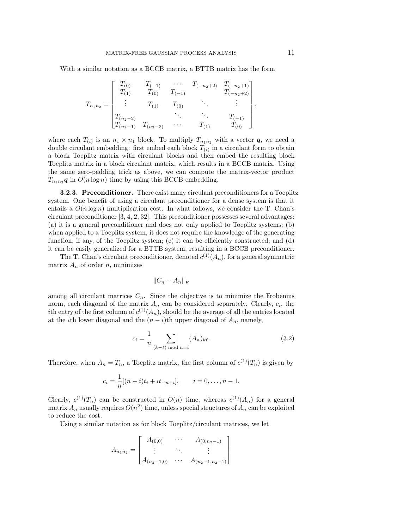With a similar notation as a BCCB matrix, a BTTB matrix has the form

$$
T_{n_1 n_2} = \begin{bmatrix} T_{(0)} & T_{(-1)} & \cdots & T_{(-n_2+2)} & T_{(-n_2+1)} \\ T_{(1)} & T_{(0)} & T_{(-1)} & T_{(-n_2+2)} \\ \vdots & T_{(1)} & T_{(0)} & \ddots & \vdots \\ T_{(n_2-2)} & \cdots & T_{(1)} & T_{(0)} \\ T_{(n_2-1)} & T_{(n_2-2)} & \cdots & T_{(1)} & T_{(0)} \end{bmatrix},
$$

where each  $T_{(i)}$  is an  $n_1 \times n_1$  block. To multiply  $T_{n_1 n_2}$  with a vector  $q$ , we need a double circulant embedding: first embed each block  $T_{(i)}$  in a circulant form to obtain a block Toeplitz matrix with circulant blocks and then embed the resulting block Toeplitz matrix in a block circulant matrix, which results in a BCCB matrix. Using the same zero-padding trick as above, we can compute the matrix-vector product  $T_{n_1 n_2} q$  in  $O(n \log n)$  time by using this BCCB embedding.

3.2.3. Preconditioner. There exist many circulant preconditioners for a Toeplitz system. One benefit of using a circulant preconditioner for a dense system is that it entails a  $O(n \log n)$  multiplication cost. In what follows, we consider the T. Chan's circulant preconditioner [3, 4, 2, 32]. This preconditioner possesses several advantages: (a) it is a general preconditioner and does not only applied to Toeplitz systems; (b) when applied to a Toeplitz system, it does not require the knowledge of the generating function, if any, of the Toeplitz system; (c) it can be efficiently constructed; and (d) it can be easily generalized for a BTTB system, resulting in a BCCB preconditioner.

The T. Chan's circulant preconditioner, denoted  $c^{(1)}(A_n)$ , for a general symmetric matrix  $A_n$  of order n, minimizes

$$
||C_n - A_n||_F
$$

among all circulant matrices  $C_n$ . Since the objective is to minimize the Frobenius norm, each diagonal of the matrix  $A_n$  can be considered separately. Clearly,  $c_i$ , the *i*th entry of the first column of  $c^{(1)}(A_n)$ , should be the average of all the entries located at the *i*th lower diagonal and the  $(n - i)$ th upper diagonal of  $A_n$ , namely,

$$
c_i = \frac{1}{n} \sum_{(k-\ell) \bmod n = i} (A_n)_{k\ell}.
$$
 (3.2)

Therefore, when  $A_n = T_n$ , a Toeplitz matrix, the first column of  $c^{(1)}(T_n)$  is given by

$$
c_i = \frac{1}{n} [(n-i)t_i + it_{-n+i}], \qquad i = 0, \dots, n-1.
$$

Clearly,  $c^{(1)}(T_n)$  can be constructed in  $O(n)$  time, whereas  $c^{(1)}(A_n)$  for a general matrix  $A_n$  usually requires  $O(n^2)$  time, unless special structures of  $A_n$  can be exploited to reduce the cost.

Using a similar notation as for block Toeplitz/circulant matrices, we let

$$
A_{n_1 n_2} = \begin{bmatrix} A_{(0,0)} & \cdots & A_{(0,n_2-1)} \\ \vdots & \ddots & \vdots \\ A_{(n_2-1,0)} & \cdots & A_{(n_2-1,n_2-1)} \end{bmatrix}
$$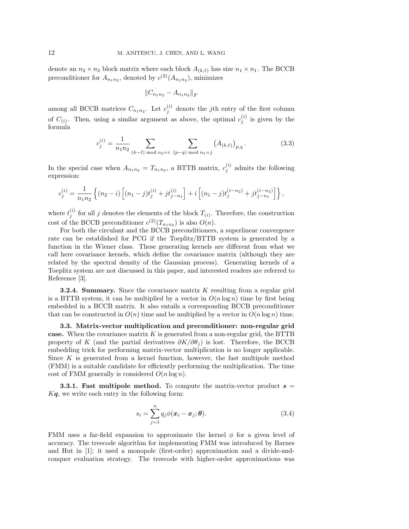denote an  $n_2 \times n_2$  block matrix where each block  $A_{(k,\ell)}$  has size  $n_1 \times n_1$ . The BCCB preconditioner for  $A_{n_1 n_2}$ , denoted by  $c^{(2)}(A_{n_1 n_2})$ , minimizes

$$
||C_{n_1n_2} - A_{n_1n_2}||_F
$$

among all BCCB matrices  $C_{n_1 n_2}$ . Let  $c_j^{(i)}$  denote the jth entry of the first column of  $C_{(i)}$ . Then, using a similar argument as above, the optimal  $c_j^{(i)}$  is given by the formula

$$
c_j^{(i)} = \frac{1}{n_1 n_2} \sum_{(k-\ell) \bmod n_2 = i \ (p-q) \bmod n_1 = j} \left( A_{(k,\ell)} \right)_{p,q}.
$$
 (3.3)

In the special case when  $A_{n_1 n_2} = T_{n_1 n_2}$ , a BTTB matrix,  $c_j^{(i)}$  admits the following expression:

$$
c_j^{(i)} = \frac{1}{n_1 n_2} \left\{ (n_2 - i) \left[ (n_1 - j) t_j^{(i)} + j t_{j - n_1}^{(i)} \right] + i \left[ (n_1 - j) t_j^{(i - n_2)} + j t_{j - n_1}^{(i - n_2)} \right] \right\},\,
$$

where  $t_j^{(i)}$  for all j denotes the elements of the block  $T_{(i)}$ . Therefore, the construction cost of the BCCB preconditioner  $c^{(2)}(T_{n_1n_2})$  is also  $O(n)$ .

For both the circulant and the BCCB preconditioners, a superlinear convergence rate can be established for PCG if the Toeplitz/BTTB system is generated by a function in the Wiener class. These generating kernels are different from what we call here covariance kernels, which define the covariance matrix (although they are related by the spectral density of the Gaussian process). Generating kernels of a Toeplitz system are not discussed in this paper, and interested readers are referred to Reference [3].

**3.2.4. Summary.** Since the covariance matrix  $K$  resulting from a regular grid is a BTTB system, it can be multiplied by a vector in  $O(n \log n)$  time by first being embedded in a BCCB matrix. It also entails a corresponding BCCB preconditioner that can be constructed in  $O(n)$  time and be multiplied by a vector in  $O(n \log n)$  time.

3.3. Matrix-vector multiplication and preconditioner: non-regular grid case. When the covariance matrix  $K$  is generated from a non-regular grid, the BTTB property of K (and the partial derivatives  $\partial K/\partial \theta_i$ ) is lost. Therefore, the BCCB embedding trick for performing matrix-vector multiplication is no longer applicable. Since  $K$  is generated from a kernel function, however, the fast multipole method (FMM) is a suitable candidate for efficiently performing the multiplication. The time cost of FMM generally is considered  $O(n \log n)$ .

**3.3.1.** Fast multipole method. To compute the matrix-vector product  $s =$  $Kq$ , we write each entry in the following form:

$$
s_i = \sum_{j=1}^n q_j \phi(\boldsymbol{x}_i - \boldsymbol{x}_j; \boldsymbol{\theta}).
$$
\n(3.4)

FMM uses a far-field expansion to approximate the kernel  $\phi$  for a given level of accuracy. The treecode algorithm for implementing FMM was introduced by Barnes and Hut in [1]; it used a monopole (first-order) approximation and a divide-andconquer evaluation strategy. The treecode with higher-order approximations was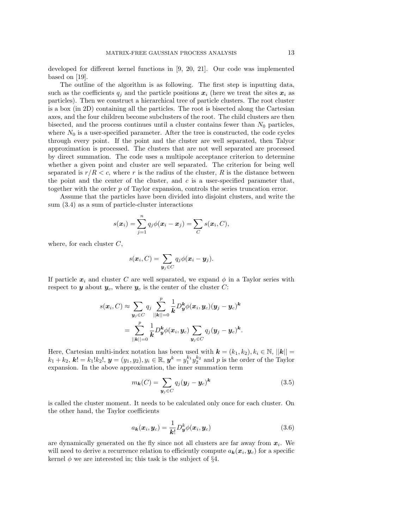developed for different kernel functions in [9, 20, 21]. Our code was implemented based on [19].

The outline of the algorithm is as following. The first step is inputting data, such as the coefficients  $q_i$  and the particle positions  $x_i$  (here we treat the sites  $x_i$  as particles). Then we construct a hierarchical tree of particle clusters. The root cluster is a box (in 2D) containing all the particles. The root is bisected along the Cartesian axes, and the four children become subclusters of the root. The child clusters are then bisected, and the process continues until a cluster contains fewer than  $N_0$  particles, where  $N_0$  is a user-specified parameter. After the tree is constructed, the code cycles through every point. If the point and the cluster are well separated, then Talyor approximation is processed. The clusters that are not well separated are processed by direct summation. The code uses a multipole acceptance criterion to determine whether a given point and cluster are well separated. The criterion for being well separated is  $r/R < c$ , where r is the radius of the cluster, R is the distance between the point and the center of the cluster, and  $c$  is a user-specified parameter that, together with the order p of Taylor expansion, controls the series truncation error.

Assume that the particles have been divided into disjoint clusters, and write the sum (3.4) as a sum of particle-cluster interactions

$$
s(\boldsymbol{x}_i) = \sum_{j=1}^n q_j \phi(\boldsymbol{x}_i - \boldsymbol{x}_j) = \sum_C s(\boldsymbol{x}_i, C),
$$

where, for each cluster  $C$ ,

$$
s(\boldsymbol{x}_i, C) = \sum_{\boldsymbol{y}_j \in C} q_j \phi(\boldsymbol{x}_i - \boldsymbol{y}_j).
$$

If particle  $x_i$  and cluster C are well separated, we expand  $\phi$  in a Taylor series with respect to y about  $y_c$ , where  $y_c$  is the center of the cluster C:

$$
s(\boldsymbol{x}_i, C) \approx \sum_{\boldsymbol{y}_j \in C} q_j \sum_{||\boldsymbol{k}||=0}^p \frac{1}{\boldsymbol{k}} D_{\boldsymbol{y}}^{\boldsymbol{k}} \phi(\boldsymbol{x}_i, \boldsymbol{y}_c) (\boldsymbol{y}_j - \boldsymbol{y}_c)^{\boldsymbol{k}} = \sum_{||\boldsymbol{k}||=0}^p \frac{1}{\boldsymbol{k}} D_{\boldsymbol{y}}^{\boldsymbol{k}} \phi(\boldsymbol{x}_i, \boldsymbol{y}_c) \sum_{\boldsymbol{y}_j \in C} q_j (\boldsymbol{y}_j - \boldsymbol{y}_c)^{\boldsymbol{k}}.
$$

Here, Cartesian multi-index notation has been used with  $\mathbf{k} = (k_1, k_2), k_i \in \mathbb{N}, ||\mathbf{k}|| =$  $k_1 + k_2$ ,  $k! = k_1!k_2!$ ,  $y = (y_1, y_2), y_i \in \mathbb{R}$ ,  $y^k = y_1^{k_1} y_2^{k_2}$  and p is the order of the Taylor expansion. In the above approximation, the inner summation term

$$
m_{\mathbf{k}}(C) = \sum_{\mathbf{y}_j \in C} q_j (\mathbf{y}_j - \mathbf{y}_c)^{\mathbf{k}} \tag{3.5}
$$

is called the cluster moment. It needs to be calculated only once for each cluster. On the other hand, the Taylor coefficients

$$
a_{\mathbf{k}}(\mathbf{x}_i, \mathbf{y}_c) = \frac{1}{\mathbf{k}!} D_{\mathbf{y}}^k \phi(\mathbf{x}_i, \mathbf{y}_c)
$$
(3.6)

are dynamically generated on the fly since not all clusters are far away from  $x_i$ . We will need to derive a recurrence relation to efficiently compute  $a_{\bf k}(x_i, y_c)$  for a specific kernel  $\phi$  we are interested in; this task is the subject of §4.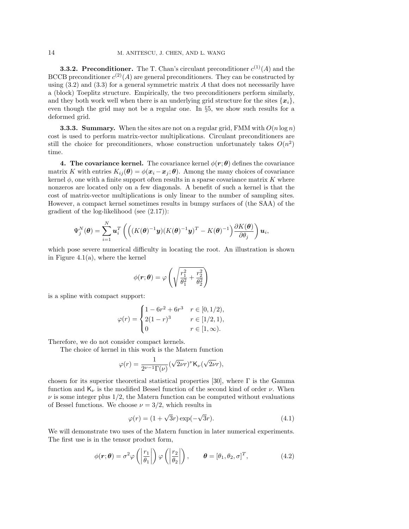**3.3.2. Preconditioner.** The T. Chan's circulant preconditioner  $c^{(1)}(A)$  and the BCCB preconditioner  $c^{(2)}(A)$  are general preconditioners. They can be constructed by using  $(3.2)$  and  $(3.3)$  for a general symmetric matrix A that does not necessarily have a (block) Toeplitz structure. Empirically, the two preconditioners perform similarly, and they both work well when there is an underlying grid structure for the sites  $\{x_i\}$ , even though the grid may not be a regular one. In §5, we show such results for a deformed grid.

**3.3.3. Summary.** When the sites are not on a regular grid, FMM with  $O(n \log n)$ cost is used to perform matrix-vector multiplications. Circulant preconditioners are still the choice for preconditioners, whose construction unfortunately takes  $O(n^2)$ time.

**4. The covariance kernel.** The covariance kernel  $\phi(\mathbf{r}; \theta)$  defines the covariance matrix K with entries  $K_{ij}(\theta) = \phi(\mathbf{x}_i - \mathbf{x}_j; \theta)$ . Among the many choices of covariance kernel  $\phi$ , one with a finite support often results in a sparse covariance matrix K where nonzeros are located only on a few diagonals. A benefit of such a kernel is that the cost of matrix-vector multiplications is only linear to the number of sampling sites. However, a compact kernel sometimes results in bumpy surfaces of (the SAA) of the gradient of the log-likelihood (see (2.17)):

$$
\Psi_j^N(\boldsymbol{\theta}) = \sum_{i=1}^N \boldsymbol{u}_i^T \left( \left( (K(\boldsymbol{\theta})^{-1}\boldsymbol{y}) (K(\boldsymbol{\theta})^{-1}\boldsymbol{y})^T - K(\boldsymbol{\theta})^{-1} \right) \frac{\partial K(\boldsymbol{\theta})}{\partial \theta_j} \right) \boldsymbol{u}_i,
$$

which pose severe numerical difficulty in locating the root. An illustration is shown in Figure 4.1(a), where the kernel

$$
\phi(\mathbf{r};\boldsymbol{\theta}) = \varphi \left( \sqrt{\frac{r_1^2}{\theta_1^2} + \frac{r_2^2}{\theta_2^2}} \right)
$$

is a spline with compact support:

$$
\varphi(r) = \begin{cases} 1 - 6r^2 + 6r^3 & r \in [0, 1/2), \\ 2(1 - r)^3 & r \in [1/2, 1), \\ 0 & r \in [1, \infty). \end{cases}
$$

Therefore, we do not consider compact kernels.

The choice of kernel in this work is the Matern function

$$
\varphi(r) = \frac{1}{2^{\nu-1}\Gamma(\nu)} (\sqrt{2\nu}r)^{\nu} \mathsf{K}_{\nu}(\sqrt{2\nu}r),
$$

chosen for its superior theoretical statistical properties [30], where  $\Gamma$  is the Gamma function and  $K_{\nu}$  is the modified Bessel function of the second kind of order  $\nu$ . When  $\nu$  is some integer plus 1/2, the Matern function can be computed without evaluations of Bessel functions. We choose  $\nu = 3/2$ , which results in

$$
\varphi(r) = (1 + \sqrt{3}r) \exp(-\sqrt{3}r). \tag{4.1}
$$

We will demonstrate two uses of the Matern function in later numerical experiments. The first use is in the tensor product form,

$$
\phi(\mathbf{r};\boldsymbol{\theta}) = \sigma^2 \varphi\left(\left|\frac{r_1}{\theta_1}\right|\right) \varphi\left(\left|\frac{r_2}{\theta_2}\right|\right), \qquad \boldsymbol{\theta} = [\theta_1, \theta_2, \sigma]^T, \tag{4.2}
$$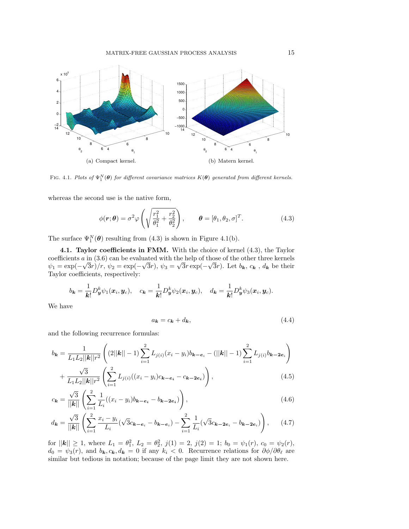

FIG. 4.1. Plots of  $\Psi_1^N(\theta)$  for different covariance matrices  $K(\theta)$  generated from different kernels.

whereas the second use is the native form,

$$
\phi(\mathbf{r};\boldsymbol{\theta}) = \sigma^2 \varphi \left( \sqrt{\frac{r_1^2}{\theta_1^2} + \frac{r_2^2}{\theta_2^2}} \right), \qquad \boldsymbol{\theta} = [\theta_1, \theta_2, \sigma]^T. \tag{4.3}
$$

The surface  $\Psi_1^N(\theta)$  resulting from (4.3) is shown in Figure 4.1(b).

4.1. Taylor coefficients in FMM. With the choice of kernel (4.3), the Taylor coefficients a in (3.6) can be evaluated with the help of those of the other three kernels  $\psi_1 = \exp(-\sqrt{3}r)/r, \, \psi_2 = \exp(-\sqrt{3}r), \, \psi_3 = \sqrt{3}r \exp(-\sqrt{3}r).$  Let  $b_k, c_k, d_k$  be their Taylor coefficients, respectively:

$$
b_{\mathbf{k}} = \frac{1}{\mathbf{k}!} D_{\mathbf{y}}^k \psi_1(\mathbf{x}_i, \mathbf{y}_c), \quad c_{\mathbf{k}} = \frac{1}{\mathbf{k}!} D_{\mathbf{y}}^k \psi_2(\mathbf{x}_i, \mathbf{y}_c), \quad d_{\mathbf{k}} = \frac{1}{\mathbf{k}!} D_{\mathbf{y}}^k \psi_3(\mathbf{x}_i, \mathbf{y}_c).
$$

We have

$$
a_{\mathbf{k}} = c_{\mathbf{k}} + d_{\mathbf{k}},\tag{4.4}
$$

and the following recurrence formulas:

$$
b_{\mathbf{k}} = \frac{1}{L_1 L_2 ||\mathbf{k}|| r^2} \left( (2||\mathbf{k}|| - 1) \sum_{i=1}^2 L_{j(i)} (x_i - y_i) b_{\mathbf{k} - \mathbf{e}_i} - (||\mathbf{k}|| - 1) \sum_{i=1}^2 L_{j(i)} b_{\mathbf{k} - 2\mathbf{e}_i} \right) + \frac{\sqrt{3}}{L_1 L_2 ||\mathbf{k}|| r^2} \left( \sum_{i=1}^2 L_{j(i)} ((x_i - y_i) c_{\mathbf{k} - \mathbf{e}_i} - c_{\mathbf{k} - 2\mathbf{e}_i}) \right),
$$
\n(4.5)

$$
+\frac{1}{L_1L_2||\mathbf{k}||r^2}\left(\sum_{i=1}^{L_1}L_{j(i)}((x_i-y_i)c_{\mathbf{k}-\mathbf{e}_i}-c_{\mathbf{k}-2\mathbf{e}_i})\right),\tag{4.5}
$$

$$
c_{\mathbf{k}} = \frac{\sqrt{3}}{||\mathbf{k}||} \left( \sum_{i=1}^{2} \frac{1}{L_i} ((x_i - y_i) b_{\mathbf{k} - \mathbf{e}_i} - b_{\mathbf{k} - 2\mathbf{e}_i}) \right),
$$
(4.6)

$$
d_{\mathbf{k}} = \frac{\sqrt{3}}{||\mathbf{k}||} \left( \sum_{i=1}^{2} \frac{x_i - y_i}{L_i} (\sqrt{3}c_{\mathbf{k} - \mathbf{e}_i} - b_{\mathbf{k} - \mathbf{e}_i}) - \sum_{i=1}^{2} \frac{1}{L_i} (\sqrt{3}c_{\mathbf{k} - 2\mathbf{e}_i} - b_{\mathbf{k} - 2\mathbf{e}_i}) \right), \qquad (4.7)
$$

for  $||\mathbf{k}|| \geq 1$ , where  $L_1 = \theta_1^2$ ,  $L_2 = \theta_2^2$ ,  $j(1) = 2$ ,  $j(2) = 1$ ;  $b_0 = \psi_1(r)$ ,  $c_0 = \psi_2(r)$ ,  $d_0 = \psi_3(r)$ , and  $b_k, c_k, d_k = 0$  if any  $k_i < 0$ . Recurrence relations for  $\partial \phi / \partial \theta_\ell$  are similar but tedious in notation; because of the page limit they are not shown here.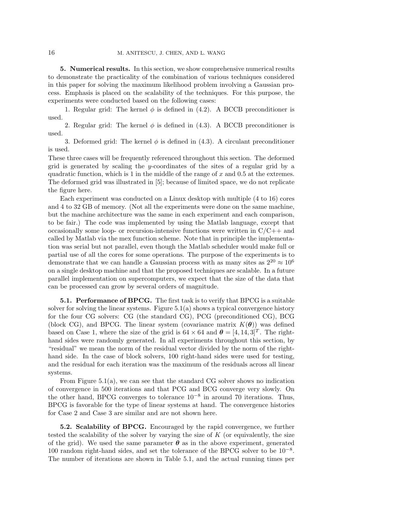5. Numerical results. In this section, we show comprehensive numerical results to demonstrate the practicality of the combination of various techniques considered in this paper for solving the maximum likelihood problem involving a Gaussian process. Emphasis is placed on the scalability of the techniques. For this purpose, the experiments were conducted based on the following cases:

1. Regular grid: The kernel  $\phi$  is defined in (4.2). A BCCB preconditioner is used.

2. Regular grid: The kernel  $\phi$  is defined in (4.3). A BCCB preconditioner is used.

3. Deformed grid: The kernel  $\phi$  is defined in (4.3). A circulant preconditioner is used.

These three cases will be frequently referenced throughout this section. The deformed grid is generated by scaling the y-coordinates of the sites of a regular grid by a quadratic function, which is 1 in the middle of the range of  $x$  and 0.5 at the extremes. The deformed grid was illustrated in [5]; because of limited space, we do not replicate the figure here.

Each experiment was conducted on a Linux desktop with multiple (4 to 16) cores and 4 to 32 GB of memory. (Not all the experiments were done on the same machine, but the machine architecture was the same in each experiment and each comparison, to be fair.) The code was implemented by using the Matlab language, except that occasionally some loop- or recursion-intensive functions were written in  $C/C++$  and called by Matlab via the mex function scheme. Note that in principle the implementation was serial but not parallel, even though the Matlab scheduler would make full or partial use of all the cores for some operations. The purpose of the experiments is to demonstrate that we can handle a Gaussian process with as many sites as  $2^{20} \approx 10^6$ on a single desktop machine and that the proposed techniques are scalable. In a future parallel implementation on supercomputers, we expect that the size of the data that can be processed can grow by several orders of magnitude.

5.1. Performance of BPCG. The first task is to verify that BPCG is a suitable solver for solving the linear systems. Figure  $5.1(a)$  shows a typical convergence history for the four CG solvers: CG (the standard CG), PCG (preconditioned CG), BCG (block CG), and BPCG. The linear system (covariance matrix  $K(\theta)$ ) was defined based on Case 1, where the size of the grid is  $64 \times 64$  and  $\boldsymbol{\theta} = [4, 14, 3]^T$ . The righthand sides were randomly generated. In all experiments throughout this section, by "residual" we mean the norm of the residual vector divided by the norm of the righthand side. In the case of block solvers, 100 right-hand sides were used for testing, and the residual for each iteration was the maximum of the residuals across all linear systems.

From Figure  $5.1(a)$ , we can see that the standard CG solver shows no indication of convergence in 500 iterations and that PCG and BCG converge very slowly. On the other hand, BPCG converges to tolerance  $10^{-8}$  in around 70 iterations. Thus, BPCG is favorable for the type of linear systems at hand. The convergence histories for Case 2 and Case 3 are similar and are not shown here.

5.2. Scalability of BPCG. Encouraged by the rapid convergence, we further tested the scalability of the solver by varying the size of  $K$  (or equivalently, the size of the grid). We used the same parameter  $\theta$  as in the above experiment, generated 100 random right-hand sides, and set the tolerance of the BPCG solver to be  $10^{-8}$ . The number of iterations are shown in Table 5.1, and the actual running times per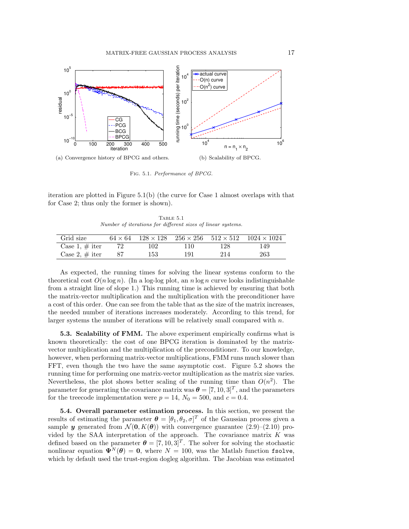

Fig. 5.1. Performance of BPCG.

iteration are plotted in Figure 5.1(b) (the curve for Case 1 almost overlaps with that for Case 2; thus only the former is shown).

Table 5.1 Number of iterations for different sizes of linear systems.

| Grid size         |     |     |     | $64 \times 64$ $128 \times 128$ $256 \times 256$ $512 \times 512$ $1024 \times 1024$ |
|-------------------|-----|-----|-----|--------------------------------------------------------------------------------------|
| Case 1, $\#$ iter | 102 | 110 | 128 | 149                                                                                  |
| Case 2, $\#$ iter | 153 | 191 | 214 | 263                                                                                  |

As expected, the running times for solving the linear systems conform to the theoretical cost  $O(n \log n)$ . (In a log-log plot, an n log n curve looks indistinguishable from a straight line of slope 1.) This running time is achieved by ensuring that both the matrix-vector multiplication and the multiplication with the preconditioner have a cost of this order. One can see from the table that as the size of the matrix increases, the needed number of iterations increases moderately. According to this trend, for larger systems the number of iterations will be relatively small compared with  $n$ .

5.3. Scalability of FMM. The above experiment empirically confirms what is known theoretically: the cost of one BPCG iteration is dominated by the matrixvector multiplication and the multiplication of the preconditioner. To our knowledge, however, when performing matrix-vector multiplications, FMM runs much slower than FFT, even though the two have the same asymptotic cost. Figure 5.2 shows the running time for performing one matrix-vector multiplication as the matrix size varies. Nevertheless, the plot shows better scaling of the running time than  $O(n^2)$ . The parameter for generating the covariance matrix was  $\boldsymbol{\theta} = [7, 10, 3]^T$ , and the parameters for the treecode implementation were  $p = 14$ ,  $N_0 = 500$ , and  $c = 0.4$ .

5.4. Overall parameter estimation process. In this section, we present the results of estimating the parameter  $\boldsymbol{\theta} = [\theta_1, \theta_2, \sigma]^T$  of the Gaussian process given a sample y generated from  $\mathcal{N}(\mathbf{0}, K(\boldsymbol{\theta}))$  with convergence guarantee  $(2.9)$ – $(2.10)$  provided by the SAA interpretation of the approach. The covariance matrix  $K$  was defined based on the parameter  $\boldsymbol{\theta} = [7, 10, 3]^T$ . The solver for solving the stochastic nonlinear equation  $\Psi^{N}(\theta) = 0$ , where  $N = 100$ , was the Matlab function fsolve, which by default used the trust-region dogleg algorithm. The Jacobian was estimated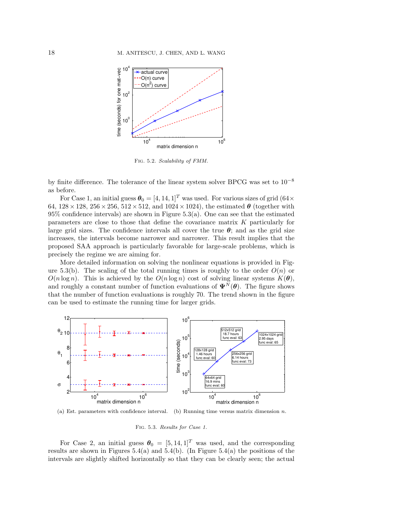

Fig. 5.2. Scalability of FMM.

by finite difference. The tolerance of the linear system solver BPCG was set to 10−<sup>8</sup> as before.

For Case 1, an initial guess  $\boldsymbol{\theta}_0 = [4, 14, 1]^T$  was used. For various sizes of grid  $(64 \times$ 64,  $128 \times 128$ ,  $256 \times 256$ ,  $512 \times 512$ , and  $1024 \times 1024$ ), the estimated  $\theta$  (together with 95% confidence intervals) are shown in Figure 5.3(a). One can see that the estimated parameters are close to those that define the covariance matrix K particularly for large grid sizes. The confidence intervals all cover the true  $\theta$ ; and as the grid size increases, the intervals become narrower and narrower. This result implies that the proposed SAA approach is particularly favorable for large-scale problems, which is precisely the regime we are aiming for.

More detailed information on solving the nonlinear equations is provided in Figure 5.3(b). The scaling of the total running times is roughly to the order  $O(n)$  or  $O(n \log n)$ . This is achieved by the  $O(n \log n)$  cost of solving linear systems  $K(\theta)$ , and roughly a constant number of function evaluations of  $\Psi^{N}(\theta)$ . The figure shows that the number of function evaluations is roughly 70. The trend shown in the figure can be used to estimate the running time for larger grids.



(a) Est. parameters with confidence interval. (b) Running time versus matrix dimension  $n$ .

## Fig. 5.3. Results for Case 1.

For Case 2, an initial guess  $\boldsymbol{\theta}_0 = [5, 14, 1]^T$  was used, and the corresponding results are shown in Figures 5.4(a) and 5.4(b). (In Figure 5.4(a) the positions of the intervals are slightly shifted horizontally so that they can be clearly seen; the actual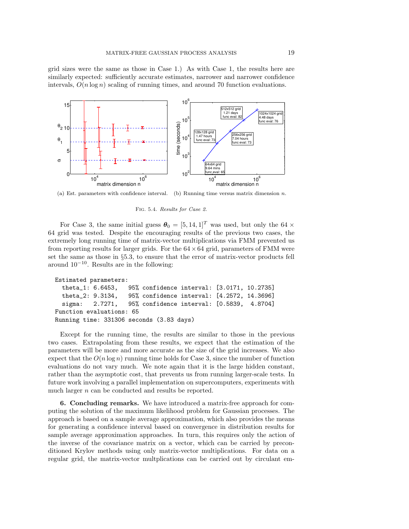grid sizes were the same as those in Case 1.) As with Case 1, the results here are similarly expected: sufficiently accurate estimates, narrower and narrower confidence intervals,  $O(n \log n)$  scaling of running times, and around 70 function evaluations.



(a) Est. parameters with confidence interval. (b) Running time versus matrix dimension  $n$ .

Fig. 5.4. Results for Case 2.

For Case 3, the same initial guess  $\theta_0 = [5, 14, 1]^T$  was used, but only the 64  $\times$ 64 grid was tested. Despite the encouraging results of the previous two cases, the extremely long running time of matrix-vector multiplications via FMM prevented us from reporting results for larger grids. For the  $64 \times 64$  grid, parameters of FMM were set the same as those in §5.3, to ensure that the error of matrix-vector products fell around  $10^{-10}$ . Results are in the following:

```
Estimated parameters:
 theta_1: 6.6453, 95% confidence interval: [3.0171, 10.2735]
 theta_2: 9.3134, 95% confidence interval: [4.2572, 14.3696]
 sigma: 2.7271, 95% confidence interval: [0.5839, 4.8704]
Function evaluations: 65
Running time: 331306 seconds (3.83 days)
```
Except for the running time, the results are similar to those in the previous two cases. Extrapolating from these results, we expect that the estimation of the parameters will be more and more accurate as the size of the grid increases. We also expect that the  $O(n \log n)$  running time holds for Case 3, since the number of function evaluations do not vary much. We note again that it is the large hidden constant, rather than the asymptotic cost, that prevents us from running larger-scale tests. In future work involving a parallel implementation on supercomputers, experiments with much larger *n* can be conducted and results be reported.

6. Concluding remarks. We have introduced a matrix-free approach for computing the solution of the maximum likelihood problem for Gaussian processes. The approach is based on a sample average approximation, which also provides the means for generating a confidence interval based on convergence in distribution results for sample average approximation approaches. In turn, this requires only the action of the inverse of the covariance matrix on a vector, which can be carried by preconditioned Krylov methods using only matrix-vector multiplications. For data on a regular grid, the matrix-vector multplications can be carried out by circulant em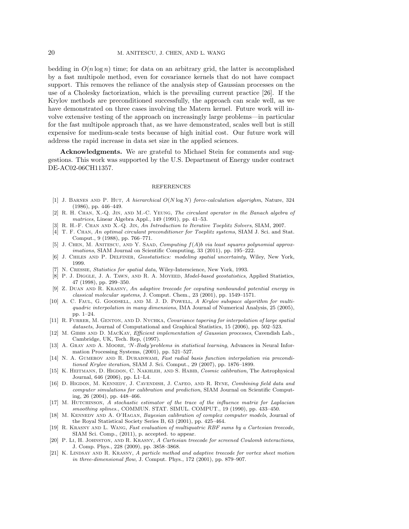bedding in  $O(n \log n)$  time; for data on an arbitrary grid, the latter is accomplished by a fast multipole method, even for covariance kernels that do not have compact support. This removes the reliance of the analysis step of Gaussian processes on the use of a Cholesky factorization, which is the prevailing current practice [26]. If the Krylov methods are preconditioned successfully, the approach can scale well, as we have demonstrated on three cases involving the Matern kernel. Future work will involve extensive testing of the approach on increasingly large problems—in particular for the fast multipole approach that, as we have demonstrated, scales well but is still expensive for medium-scale tests because of high initial cost. Our future work will address the rapid increase in data set size in the applied sciences.

Acknowledgments. We are grateful to Michael Stein for comments and suggestions. This work was supported by the U.S. Department of Energy under contract DE-AC02-06CH11357.

## REFERENCES

- [1] J. Barnes and P. Hut, A hierarchical O(N log N) force-calculation algorighm, Nature, 324 (1986), pp. 446–449.
- [2] R. H. Chan, X.-Q. Jin, and M.-C. Yeung, The circulant operator in the Banach algebra of matrices, Linear Algebra Appl., 149 (1991), pp. 41–53.
- [3] R. H.-F. Chan and X.-Q. Jin, An Introduction to Iterative Toeplitz Solvers, SIAM, 2007.
- [4] T. F. Chan, An optimal circulant preconditioner for Toeplitz systems, SIAM J. Sci. and Stat. Comput., 9 (1988), pp. 766–771.
- [5] J. CHEN, M. ANITESCU, AND Y. SAAD, Computing  $f(A)b$  via least squares polynomial approximations, SIAM Journal on Scientific Computing, 33 (2011), pp. 195–222.
- [6] J. Chiles and P. Delfiner, Geostatistics: modeling spatial uncertainty, Wiley, New York, 1999.
- [7] N. Cressie, Statistics for spatial data, Wiley-Interscience, New York, 1993.
- [8] P. J. DIGGLE, J. A. TAWN, AND R. A. MOYEED, *Model-based geostatistics*, Applied Statistics, 47 (1998), pp. 299–350.
- [9] Z. DUAN AND R. KRASNY, An adaptive treecode for coputing nonbounded potential energy in classical molecular systems, J. Comput. Chem., 23 (2001), pp. 1549–1571.
- [10] A. C. FAUL, G. GOODSELL, AND M. J. D. POWELL, A Krylov subspace algorithm for multiquadric interpolation in many dimensions, IMA Journal of Numerical Analysis, 25 (2005), pp. 1–24.
- [11] R. FURRER, M. GENTON, AND D. NYCHKA, Covariance tapering for interpolation of large spatial datasets, Journal of Computational and Graphical Statistics, 15 (2006), pp. 502–523.
- [12] M. GIBBS AND D. MACKAY, *Efficient implementation of Gaussian processes*, Cavendish Lab., Cambridge, UK, Tech. Rep, (1997).
- [13] A. GRAY AND A. MOORE, 'N-Body'problems in statistical learning, Advances in Neural Information Processing Systems, (2001), pp. 521–527.
- [14] N. A. GUMEROV AND R. DURAISWAMI, Fast radial basis function interpolation via preconditioned Krylov iteration, SIAM J. Sci. Comput., 29 (2007), pp. 1876–1899.
- [15] K. HEITMANN, D. HIGDON, C. NAKHLEH, AND S. HABIB, Cosmic calibration, The Astrophysical Journal, 646 (2006), pp. L1–L4.
- [16] D. HIGDON, M. KENNEDY, J. CAVENDISH, J. CAFEO, AND R. RYNE, Combining field data and computer simulations for calibration and prediction, SIAM Journal on Scientific Computing, 26 (2004), pp. 448–466.
- [17] M. Hutchinson, A stochastic estimator of the trace of the influence matrix for Laplacian smoothing splines., COMMUN. STAT. SIMUL. COMPUT., 19 (1990), pp. 433–450.
- [18] M. KENNEDY AND A. O'HAGAN, Bayesian calibration of complex computer models, Journal of the Royal Statistical Society Series B, 63 (2001), pp. 425–464.
- [19] R. Krasny and L. Wang, Fast evaluation of multiquatric RBF sums by a Cartesian treecode, SIAM Sci. Comp., (2011), p. accepted. to appear.
- [20] P. Li, H. Johnston, and R. Krasny, A Cartesian treecode for screened Coulomb interactions, J. Comp. Phys., 228 (2009), pp. 3858–3868.
- [21] K. LINDSAY AND R. KRASNY, A particle method and adaptive treecode for vortex sheet motion in three-dimensional flow, J. Comput. Phys., 172 (2001), pp. 879–907.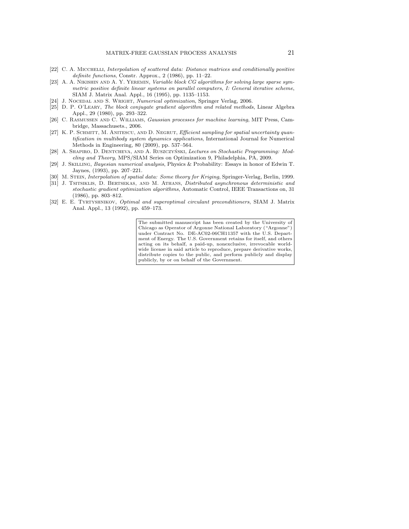- [22] C. A. MICCHELLI, *Interpolation of scattered data: Distance matrices and conditionally positive* definite functions, Constr. Approx., 2 (1986), pp. 11–22.
- [23] A. A. NIKISHIN AND A. Y. YEREMIN, Variable block CG algorithms for solving large sparse symmetric positive definite linear systems on parallel computers, I: General iterative scheme, SIAM J. Matrix Anal. Appl., 16 (1995), pp. 1135–1153.
- [24] J. Nocedal and S. Wright, Numerical optimization, Springer Verlag, 2006.
- [25] D. P. O'Leary, The block conjugate gradient algorithm and related methods, Linear Algebra Appl., 29 (1980), pp. 293–322.
- [26] C. Rasmussen and C. Williams, Gaussian processes for machine learning, MIT Press, Cambridge, Massachusets., 2006.
- [27] K. P. SCHMITT, M. ANITESCU, AND D. NEGRUT, *Efficient sampling for spatial uncertainty quan*tification in multibody system dynamics applications, International Journal for Numerical Methods in Engineering, 80 (2009), pp. 537–564.
- [28] A. SHAPIRO, D. DENTCHEVA, AND A. RUSZCZYŃSKI, Lectures on Stochastic Programming: Modeling and Theory, MPS/SIAM Series on Optimization 9, Philadelphia, PA, 2009.
- [29] J. Skilling, Bayesian numerical analysis, Physics & Probability: Essays in honor of Edwin T. Jaynes, (1993), pp. 207–221.
- [30] M. STEIN, Interpolation of spatial data: Some theory for Kriging, Springer-Verlag, Berlin, 1999.
- [31] J. Tsitsiklis, D. Bertsekas, and M. Athans, Distributed asynchronous deterministic and stochastic gradient optimization algorithms, Automatic Control, IEEE Transactions on, 31 (1986), pp. 803–812.
- [32] E. E. Tyrtyshnikov, Optimal and superoptimal circulant preconditioners, SIAM J. Matrix Anal. Appl., 13 (1992), pp. 459–173.

The submitted manuscript has been created by the University of Chicago as Operator of Argonne National Laboratory ("Argonne") under Contract No. DE-AC02-06CH11357 with the U.S. Department of Energy. The U.S. Government retains for itself, and others acting on its behalf, a paid-up, nonexclusive, irrevocable worldwide license in said article to reproduce, prepare derivative works, distribute copies to the public, and perform publicly and display publicly, by or on behalf of the Government.